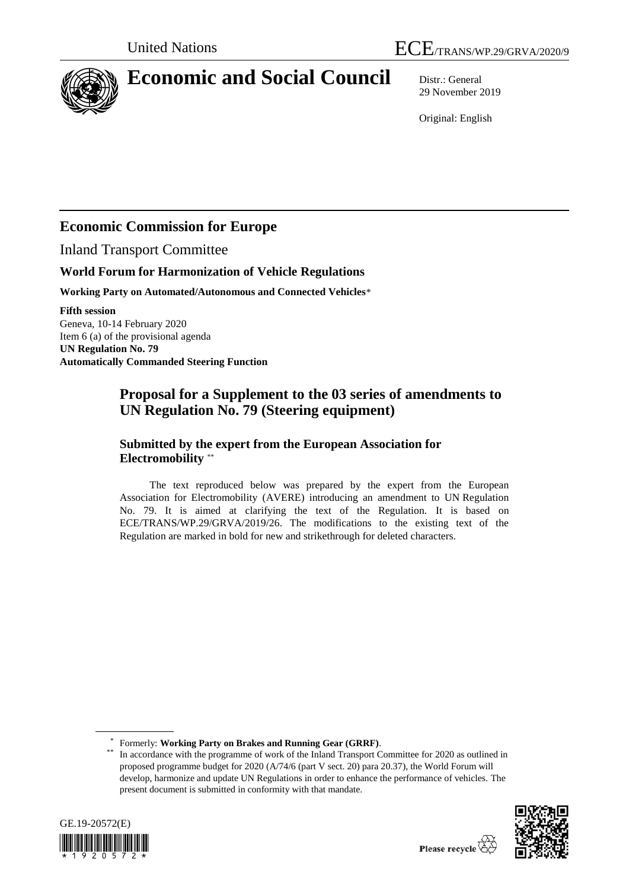

# **Economic and Social Council** Distr.: General

29 November 2019

Original: English

## **Economic Commission for Europe**

Inland Transport Committee

### **World Forum for Harmonization of Vehicle Regulations**

**Working Party on Automated/Autonomous and Connected Vehicles**\*

**Fifth session** Geneva, 10-14 February 2020 Item 6 (a) of the provisional agenda **UN Regulation No. 79 Automatically Commanded Steering Function**

## **Proposal for a Supplement to the 03 series of amendments to UN Regulation No. 79 (Steering equipment)**

#### **Submitted by the expert from the European Association for Electromobility** \*\*

The text reproduced below was prepared by the expert from the European Association for Electromobility (AVERE) introducing an amendment to UN Regulation No. 79. It is aimed at clarifying the text of the Regulation. It is based on ECE/TRANS/WP.29/GRVA/2019/26. The modifications to the existing text of the Regulation are marked in bold for new and strikethrough for deleted characters.

\* Formerly: **Working Party on Brakes and Running Gear (GRRF)**.

<sup>\*\*</sup> In accordance with the programme of work of the Inland Transport Committee for 2020 as outlined in proposed programme budget for 2020 (A/74/6 (part V sect. 20) para 20.37), the World Forum will develop, harmonize and update UN Regulations in order to enhance the performance of vehicles. The present document is submitted in conformity with that mandate.